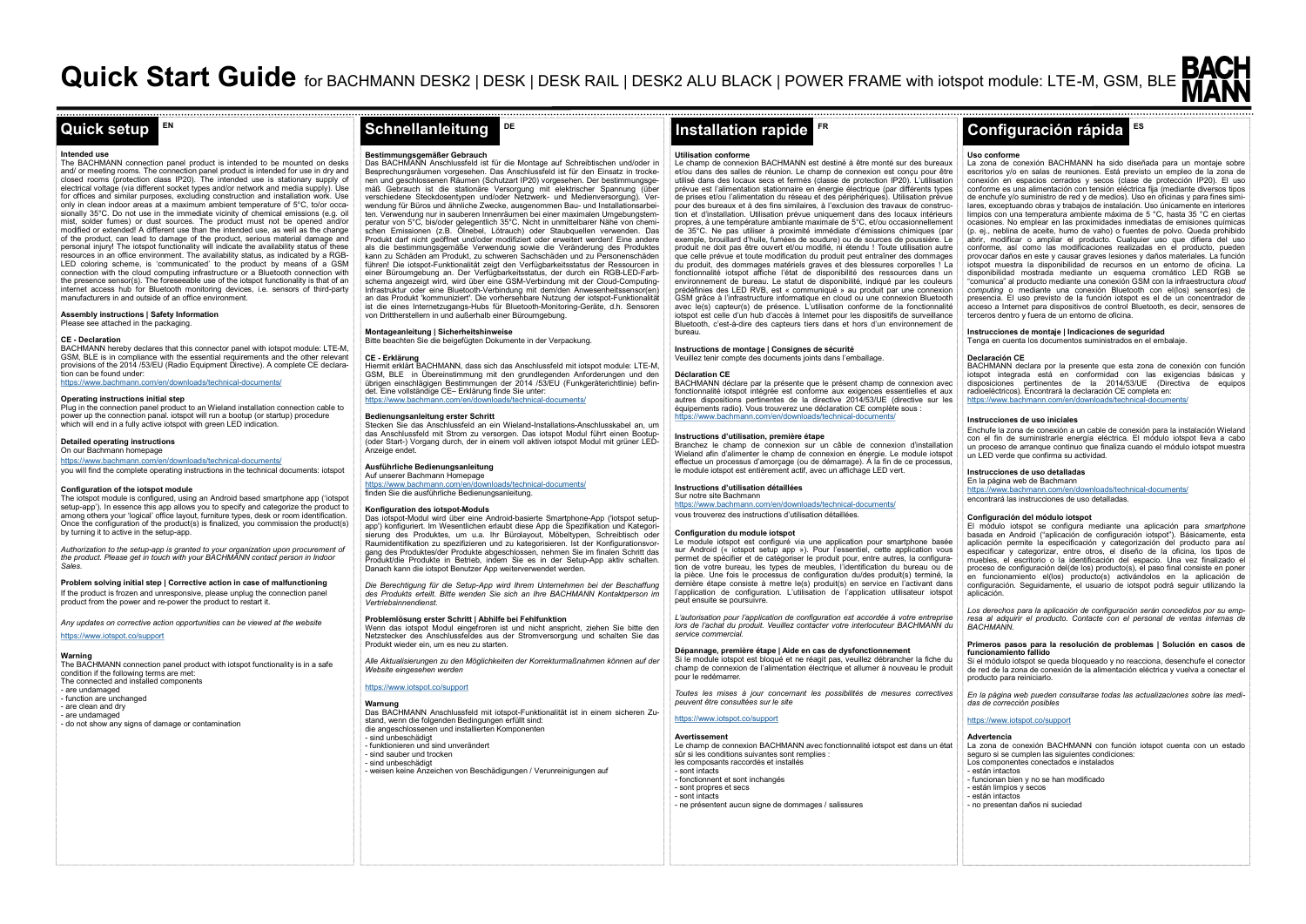# **EN**

## **Intended use**

The BACHMANN connection panel product is intended to be mounted on desks and/ or meeting rooms. The connection panel product is intended for use in dry and closed rooms (protection class IP20). The intended use is stationary supply of electrical voltage (via different socket types and/or network and media supply). Use for offices and similar purposes, excluding construction and installation work. Use only in clean indoor areas at a maximum ambient temperature of 5°C, to/or occasionally 35°C. Do not use in the immediate vicinity of chemical emissions (e.g. oil mist, solder fumes) or dust sources. The product must not be opened and/or modified or extended! A different use than the intended use, as well as the change of the product, can lead to damage of the product, serious material damage and personal injury! The iotspot functionality will indicate the availability status of these resources in an office environment. The availability status, as indicated by a RGB-LED coloring scheme, is 'communicated' to the product by means of a GSM connection with the cloud computing infrastructure or a Bluetooth connection with the presence sensor(s). The foreseeable use of the iotspot functionality is that of an internet access hub for Bluetooth monitoring devices, i.e. sensors of third-party manufacturers in and outside of an office environment.

**Assembly instructions | Safety Information** Please see attached in the packaging

## **CE - Declaration**

BACHMANN hereby declares that this connector panel with iotspot module: LTE-M, GSM, BLE is in compliance with the essential requirements and the other relevant provisions of the 2014 /53/EU (Radio Equipment Directive). A complete CE declaration can be found under:

# https://www.bachmann.com/en/downloads/technical-documents/

# **Operating instructions initial step**

Plug in the connection panel product to an Wieland installation connection cable to power up the connection panal. iotspot will run a bootup (or startup) procedure which will end in a fully active iotspot with green LED indication.

# **Detailed operating instructions**

On our Bachmann homepage https://www.bachmann.com/en/downloads/technical-documents/

you will find the complete operating instructions in the technical documents: iotspot

# **Configuration of the iotspot module**

The iotspot module is configured, using an Android based smartphone app ('iotspot setup-app'). In essence this app allows you to specify and categorize the product to among others your 'logical' office layout, furniture types, desk or room identification. Once the configuration of the product(s) is finalized, you commission the product(s) by turning it to active in the setup-app.

*Authorization to the setup-app is granted to your organization upon procurement of the product. Please get in touch with your BACHMANN contact person in Indoor Sales.* 

**Problem solving initial step | Corrective action in case of malfunctioning** If the product is frozen and unresponsive, please unplug the connection panel product from the power and re-power the product to restart it.

*Any updates on corrective action opportunities can be viewed at the website*  <https://www.iotspot.co/support>

**Warning** The BACHMANN connection panel product with iotspot functionality is in a safe condition if the following terms are met: The connected and installed components - are undamaged - function are unchanged - are clean and dry - are undamaged - do not show any signs of damage or contamination

**Bestimmungsgemäßer Gebrauch** Das BACHMANN Anschlussfeld ist für die Montage auf Schreibtischen und/oder in Besprechungsräumen vorgesehen. Das Anschlussfeld ist für den Einsatz in trockenen und geschlossenen Räumen (Schutzart IP20) vorgesehen. Der bestimmungsgemäß Gebrauch ist die stationäre Versorgung mit elektrischer Spannung (über verschiedene Steckdosentypen und/oder Netzwerk- und Medienversorgung). Verwendung für Büros und ähnliche Zwecke, ausgenommen Bau- und Installationsarbeiten. Verwendung nur in sauberen Innenräumen bei einer maximalen Umgebungstemperatur von 5°C, bis/oder gelegentlich 35°C. Nicht in unmittelbarer Nähe von chemischen Emissionen (z.B. Ölnebel, Lötrauch) oder Staubquellen verwenden. Das Produkt darf nicht geöffnet und/oder modifiziert oder erweitert werden! Eine andere als die bestimmungsgemäße Verwendung sowie die Veränderung des Produktes kann zu Schäden am Produkt, zu schweren Sachschäden und zu Personenschäden führen! Die iotspot-Funktionalität zeigt den Verfügbarkeitsstatus der Ressourcen in einer Büroumgebung an. Der Verfügbarkeitsstatus, der durch ein RGB-LED-Farbschema angezeigt wird, wird über eine GSM-Verbindung mit der Cloud-Computing-Infrastruktur oder eine Bluetooth-Verbindung mit dem/den Anwesenheitssensor(en) an das Produkt 'kommuniziert'. Die vorhersehbare Nutzung der iotspot-Funktionalität ist die eines Internetzugangs-Hubs für Bluetooth-Monitoring-Geräte, d.h. Sensoren von Drittherstellern in und außerhalb einer Büroumgebung.

**DE**

# **Montageanleitung | Sicherheitshinweise**

Bitte beachten Sie die beigefügten Dokumente in der Verpackung.

# **CE - Erklärung**

Hiermit erklärt BACHMANN, dass sich das Anschlussfeld mit iotspot module: LTE-M, GSM, BLE in Übereinstimmung mit den grundlegenden Anforderungen und den übrigen einschlägigen Bestimmungen der 2014 /53/EU (Funkgeräterichtlinie) befindet. Eine vollständige CE– Erklärung finde Sie unter: https://www.bachmann.com/en/downloads/technical-do

#### **Bedienungsanleitung erster Schritt**

Stecken Sie das Anschlussfeld an ein Wieland-Installations-Anschlusskabel an, um das Anschlussfeld mit Strom zu versorgen. Das iotspot Modul führt einen Bootup- (oder Start-) Vorgang durch, der in einem voll aktiven iotspot Modul mit grüner LED-Anzeige endet.

# **Ausführliche Bedienungsanleitung**

Auf unserer Bachmann Homepage https://www.bachmann.com/en/downloads/technical-documents/

# finden Sie die ausführliche Bedienungsanleitung.

#### **Konfiguration des iotspot-Moduls**

Das iotspot-Modul wird über eine Android-basierte Smartphone-App ('iotspot setupapp') konfiguriert. Im Wesentlichen erlaubt diese App die Spezifikation und Kategorisierung des Produktes, um u.a. Ihr Bürolayout, Möbeltypen, Schreibtisch oder Raumidentifikation zu spezifizieren und zu kategorisieren. Ist der Konfigurationsvorgang des Produktes/der Produkte abgeschlossen, nehmen Sie im finalen Schritt das Produkt/die Produkte in Betrieb, indem Sie es in der Setup-App aktiv schalten. Danach kann die iotspot Benutzer App weiterverwendet werden.

*Die Berechtigung für die Setup-App wird Ihrem Unternehmen bei der Beschaffung des Produkts erteilt. Bitte wenden Sie sich an Ihre BACHMANN Kontaktperson im Vertriebsinnendienst.* 

### **Problemlösung erster Schritt | Abhilfe bei Fehlfunktion**

Wenn das iotspot Modul eingefroren ist und nicht anspricht, ziehen Sie bitte den Netzstecker des Anschlussfeldes aus der Stromversorgung und schalten Sie das Produkt wieder ein, um es neu zu starten.

*Alle Aktualisierungen zu den Möglichkeiten der Korrekturmaßnahmen können auf der Website eingesehen werden* 

# <https://www.iotspot.co/support>

**Warnung** Das BACHMANN Anschlussfeld mit iotspot-Funktionalität ist in einem sicheren Zustaad, wenn die folgenden Bedingungen erfüllt sind die angeschlossenen und installierten Komponenten are anycsumussene<br>toihënheedhädigt - funktionieren und sind unverändert - sind sauber und trocken - sind unbeschädigt<br>- weisen keine Anzeichen von Beschädigungen / Verunreinigungen auf

# **FR**

#### **Utilisation conforme**

Le champ de connexion BACHMANN est destiné à être monté sur des bureaux et/ou dans des salles de réunion. Le champ de connexion est conçu pour être utilisé dans des locaux secs et fermés (classe de protection IP20). L'utilisation prévue est l'alimentation stationnaire en énergie électrique (par différents types de prises et/ou l'alimentation du réseau et des périphériques). Utilisation prévue pour des bureaux et à des fins similaires, à l'exclusion des travaux de construction et d'installation. Utilisation prévue uniquement dans des locaux intérieurs propres, à une température ambiante maximale de 5°C, et/ou occasionnellement de 35°C. Ne pas utiliser à proximité immédiate d'émissions chimiques (par exemple, brouillard d'huile, fumées de soudure) ou de sources de poussière. Le produit ne doit pas être ouvert et/ou modifié, ni étendu ! Toute utilisation autre que celle prévue et toute modification du produit peut entraîner des dommages du produit, des dommages matériels graves et des blessures corporelles ! La fonctionnalité iotspot affiche l'état de disponibilité des ressources dans un environnement de bureau. Le statut de disponibilité, indiqué par les couleurs prédéfinies des LED RVB, est « communiqué » au produit par une connexion GSM grâce à l'infrastructure informatique en cloud ou une connexion Bluetooth avec le(s) capteur(s) de présence. L'utilisation conforme de la fonctionnalité iotspot est celle d'un hub d'accès à Internet pour les dispositifs de surveillance Bluetooth, c'est-à-dire des capteurs tiers dans et hors d'un environnement de bureau.

#### **Instructions de montage | Consignes de sécurité** Veuillez tenir compte des documents joints dans l'emballage.

#### **Déclaration CE**

BACHMANN déclare par la présente que le présent champ de connexion avec fonctionnalité iotspot intégrée est conforme aux exigences essentielles et aux autres dispositions pertinentes de la directive 2014/53/UE (directive sur les équipements radio). Vous trouverez une déclaration CE complète sous : https://www.bachmann.com/en/downloads/technical-documents/

# **Instructions d'utilisation, première étape**

Branchez le champ de connexion sur un câble de connexion d'installation Wieland afin d'alimenter le champ de connexion en énergie. Le module iotspot effectue un processus d'amorçage (ou de démarrage). À la fin de ce processus, le module iotspot est entièrement actif, avec un affichage LED vert.

# **Instructions d'utilisation détaillées**

Sur notre site Bachmann<br>https://www.bachmann.cor https://www.bachmanner.com/downloads/technical-documents/ vous trouverez des instructions d'utilisation détaillées.

#### **Configuration du module iotspot**

Le module iotspot est configuré via une application pour smartphone basée sur Android (« iotspot setup app »). Pour l'essentiel, cette application vous permet de spécifier et de catégoriser le produit pour, entre autres, la configuration de votre bureau, les types de meubles, l'identification du bureau ou de la pièce. Une fois le processus de configuration du/des produit(s) terminé, la dernière étape consiste à mettre le(s) produit(s) en service en l'activant dans l'application de configuration. L'utilisation de l'application utilisateur iotspot peut ensuite se poursuivre.

*L'autorisation pour l'application de configuration est accordée à votre entreprise lors de l'achat du produit. Veuillez contacter votre interlocuteur BACHMANN du service commercial.* 

#### **Dépannage, première étape | Aide en cas de dysfonctionnement**

Si le module iotspot est bloqué et ne réagit pas, veuillez débrancher la fiche du champ de connexion de l'alimentation électrique et allumer à nouveau le produit pour le redémarrer.

*Toutes les mises à jour concernant les possibilités de mesures correctives peuvent être consultées sur le site* 

# https://www.iotspot.co/support

# **Avertissement**

Le champ de connexion BACHMANN avec fonctionnalité iotspot est dans un état sûr si les conditions suivantes sont remplies : les composants raccordés et installés - sont intacts - fonctionnent et sont inchangés - sont propres et secs - sont intacts - ne présentent aucun signe de dommages / salissures

# **ES Quick setup Schnellanleitung Installation rapide Configuración rápida**

### **Uso conforme**

La zona de conexión BACHMANN ha sido diseñada para un montaje sobre escritorios y/o en salas de reuniones. Está previsto un empleo de la zona de conexión en espacios cerrados y secos (clase de protección IP20). El uso conforme es una alimentación con tensión eléctrica fija (mediante diversos tipos de enchufe y/o suministro de red y de medios). Uso en oficinas y para fines similares, exceptuando obras y trabajos de instalación. Uso únicamente en interiores limpios con una temperatura ambiente máxima de 5 °C, hasta 35 °C en ciertas ocasiones. No emplear en las proximidades inmediatas de emisiones químicas (p. ej., neblina de aceite, humo de vaho) o fuentes de polvo. Queda prohibido abrir, modificar o ampliar el producto. Cualquier uso que difiera del uso conforme, así como las modificaciones realizadas en el producto, pueden provocar daños en este y causar graves lesiones y daños materiales. La función iotspot muestra la disponibilidad de recursos en un entorno de oficina. La disponibilidad mostrada mediante un esquema cromático LED RGB se "comunica" al producto mediante una conexión GSM con la infraestructura *cloud computing* o mediante una conexión Bluetooth con el(los) sensor(es) de presencia. El uso previsto de la función iotspot es el de un concentrador de acceso a Internet para dispositivos de control Bluetooth, es decir, sensores de terceros dentro y fuera de un entorno de oficina.

# **Instrucciones de montaje | Indicaciones de seguridad**

Tenga en cuenta los documentos suministrados en el embalaje.

# **Declaración CE**

BACHMANN declara por la presente que esta zona de conexión con función iotspot integrada está en conformidad con las exigencias básicas y disposiciones pertinentes de la 2014/53/UE (Directiva de equipos radioeléctricos). Encontrará la declaración CE completa en: https://www.bachmann.com/en/downloads/technical-docume

#### **Instrucciones de uso iniciales**

Enchufe la zona de conexión a un cable de conexión para la instalación Wieland con el fin de suministrarle energía eléctrica. El módulo iotspot lleva a cabo un proceso de arranque continuo que finaliza cuando el módulo iotspot muestra un LED verde que confirma su actividad.

#### **Instrucciones de uso detalladas**  En la página web de Bachmann

https://www.bachmann.com/en/downloads/technical-documents/ encontrará las instrucciones de uso detalladas.

# **Configuración del módulo iotspot**

El módulo iotspot se configura mediante una aplicación para *smartphone* basada en Android ("aplicación de configuración iotspot"). Básicamente, esta aplicación permite la especificación y categorización del producto para así especificar y categorizar, entre otros, el diseño de la oficina, los tipos de muebles, el escritorio o la identificación del espacio. Una vez finalizado el proceso de configuración del(de los) producto(s), el paso final consiste en poner en funcionamiento el(los) producto(s) activándolos en la aplicación de configuración. Seguidamente, el usuario de iotspot podrá seguir utilizando la aplicación.

*Los derechos para la aplicación de configuración serán concedidos por su empresa al adquirir el producto. Contacte con el personal de ventas internas de BACHMANN.* 

### **Primeros pasos para la resolución de problemas | Solución en casos de funcionamiento fallido**

Si el módulo iotspot se queda bloqueado y no reacciona, desenchufe el conector de red de la zona de conexión de la alimentación eléctrica y vuelva a conectar el producto para reiniciarlo.

*En la página web pueden consultarse todas las actualizaciones sobre las medidas de corrección posibles* 

# https://www.iotspot.co/support

**Advertencia** La zona de conexión BACHMANN con función iotspot cuenta con un estado seguro si se cumplen las siguientes condiciones: Los componentes conectados e instalados - están intactos - funcionan bien y no se han modificado - están limpios y secos - están intactos - no presentan daños ni suciedad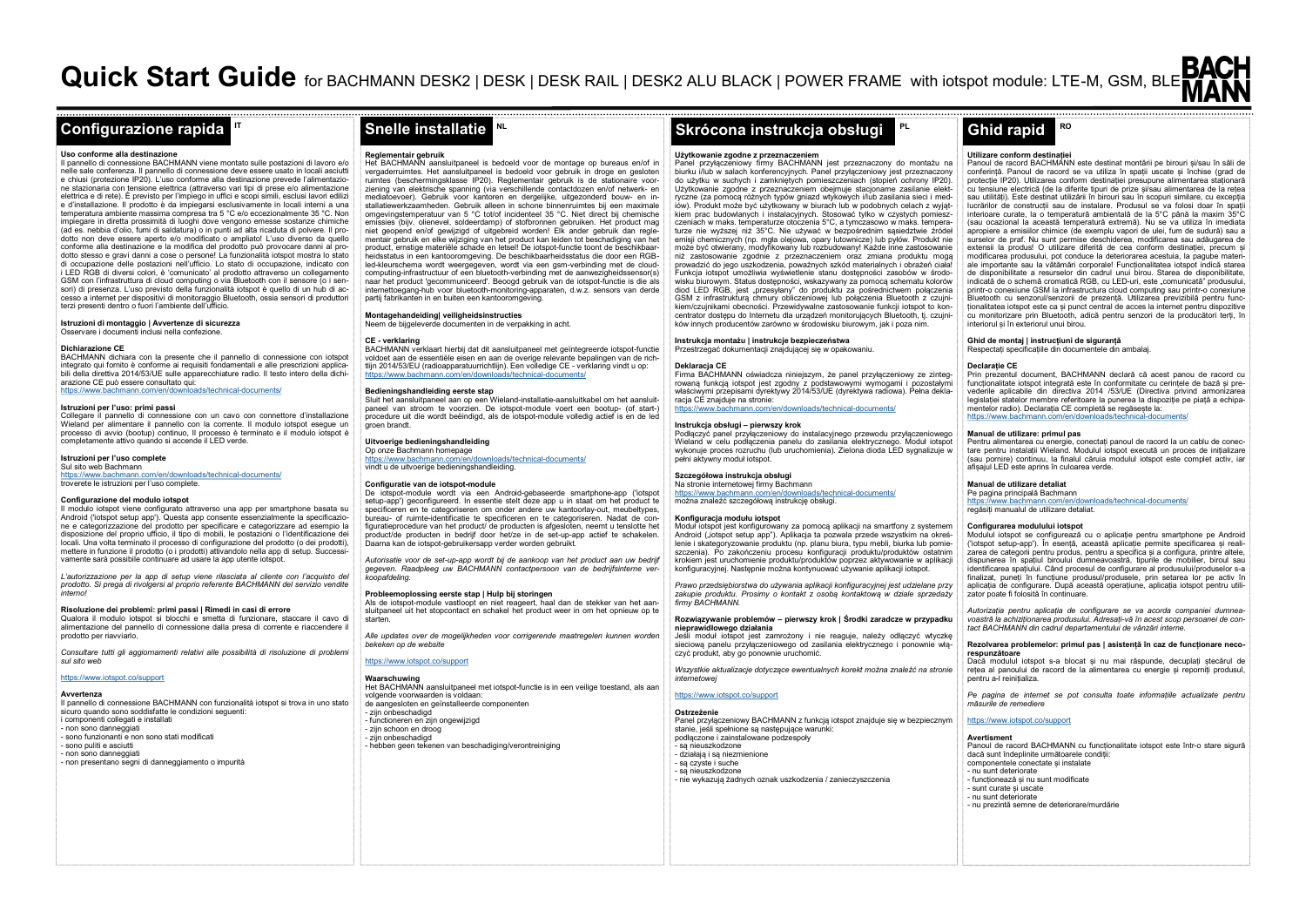# **Uso conforme alla destinazione**

Il pannello di connessione BACHMANN viene montato sulle postazioni di lavoro e/o nelle sale conferenza. Il pannello di connessione deve essere usato in locali asciutti<br>e chiusi (protezione IP20), L'uso conforme alla destinazione prevede l'alimentazioe chiusi (protezione IP20). L'uso conforme alla destinazione prevede l'alimentazio-ne stazionaria con tensione elettrica (attraverso vari tipi di prese e/o alimentazione elettrica e di rete). È previsto per l'impiego in uffici e scopi simili, esclusi lavori edilizi e d'installazione. Il prodotto è da impiegarsi esclusivamente in locali interni a una temperatura ambiente massima compresa tra 5 °C e/o eccezionalmente 35 °C. Non impiegare in diretta prossimità di luoghi dove vengono emesse sostanze chimiche (ad es. nebbia d'olio, fumi di saldatura) o in punti ad alta ricaduta di polvere. Il prodotto non deve essere aperto e/o modificato o ampliato! L'uso diverso da quello conforme alla destinazione e la modifica del prodotto può provocare danni al prodotto stesso e gravi danni a cose o persone! La funzionalità iotspot mostra lo stato di occupazione delle postazioni nell'ufficio. Lo stato di occupazione, indicato con i LED RGB di diversi colori, è 'comunicato' al prodotto attraverso un collegamento GSM con l'infrastruttura di cloud computing o via Bluetooth con il sensore (o i sensori) di presenza. L'uso previsto della funzionalità iotspot è quello di un hub di accesso a internet per dispositivi di monitoraggio Bluetooth, ossia sensori di produttori terzi presenti dentro o fuori l'ambiente dell'ufficio.

**IT**

## **Istruzioni di montaggio | Avvertenze di sicurezza**

Osservare i documenti inclusi nella confezione.

# **Dichiarazione CE**

BACHMANN dichiara con la presente che il pannello di connessione con iotspot integrato qui fornito è conforme ai requisiti fondamentali e alle prescrizioni applicabili della direttiva 2014/53/UE sulle apparecchiature radio. Il testo intero della dichiarazione CE può essere consultato qui: https://www.bachmann.com/en/downloads/technical-documents/

#### **Istruzioni per l'uso: primi passi**

Collegare il pannello di connessione con un cavo con connettore d'installazione Wieland per alimentare il pannello con la corrente. Il modulo iotspot esegue un processo di avvio (bootup) continuo, Il processo è terminato e il modulo iotspot è completamente attivo quando si accende il LED verde.

### **Istruzioni per l'uso complete**

Sul sito web Bachmann https://www.bachmann.com/en/downloads/technical-documents/ troverete le istruzioni per l'uso complete.

#### **Configurazione del modulo iotspot**

Il modulo iotspot viene configurato attraverso una app per smartphone basata su Android ('iotspot setup app'). Questa app consente essenzialmente la specificazione e categorizzazione del prodotto per specificare e categorizzare ad esempio la disposizione del proprio ufficio, il tipo di mobili, le postazioni o l'identificazione dei locali. Una volta terminato il processo di configurazione del prodotto (o dei prodotti), mettere in funzione il prodotto (o i prodotti) attivandolo nella app di setup. Successivamente sarà possibile continuare ad usare la app utente iotspot.

*L'autorizzazione per la app di setup viene rilasciata al cliente con l'acquisto del prodotto. Si prega di rivolgersi al proprio referente BACHMANN del servizio vendite interno!* 

# **Risoluzione dei problemi: primi passi | Rimedi in casi di errore**

Qualora il modulo iotspot si blocchi e smetta di funzionare, staccare il cavo di alimentazione del pannello di connessione dalla presa di corrente e riaccendere il prodotto per riavviarlo.

*Consultare tutti gli aggiornamenti relativi alle possibilità di risoluzione di problemi sul sito web* 

# https://www.iotspot.co/support

**Avvertenza**

Il pannello di connessione BACHMANN con funzionalità iotspot si trova in uno stato sicuro quando sono soddisfatte le condizioni seguenti: i componenti collegati e installati - non sono danneggiati - sono funzionanti e non sono stati modificati

- sono puliti e asciutti - non sono danneggiati

- non presentano segni di danneggiamento o impurità

# **Reglementair gebruik**

Het BACHMANN aansluitpaneel is bedoeld voor de montage op bureaus en/of in vergaderruimtes. Het aansluitpaneel is bedoeld voor gebruik in droge en gesloten ruimtes (beschermingsklasse IP20). Reglementair gebruik is de stationaire voorziening van elektrische spanning (via verschillende contactdozen en/of netwerk- en mediatoevoer). Gebruik voor kantoren en dergelijke, uitgezonderd bouw- en installatiewerkzaamheden. Gebruik alleen in schone binnenruimtes bij een maximale omgevingstemperatuur van 5 °C tot/of incidenteel 35 °C. Niet direct bij chemische emissies (bijv. olienevel, soldeerdamp) of stofbronnen gebruiken. Het product mag niet geopend en/of gewijzigd of uitgebreid worden! Elk ander gebruik dan reglementair gebruik en elke wijziging van het product kan leiden tot beschadiging van het product, ernstige materiële schade en letsel! De iotspot-functie toont de beschikbaarheidsstatus in een kantooromgeving. De beschikbaarheidsstatus die door een RGBled-kleurschema wordt weergegeven, wordt via een gsm-verbinding met de cloudcomputing-infrastructuur of een bluetooth-verbinding met de aanwezigheidssensor(s) naar het product 'gecommuniceerd'. Beoogd gebruik van de iotspot-functie is die als internettoegang-hub voor bluetooth-monitoring-apparaten, d.w.z. sensors van derde partij fabrikanten in en buiten een kantooromgeving.

**NL**

**Montagehandeiding| veiligheidsinstructies** Neem de bijgeleverde documenten in de verpakking in acht.

# **CE - verklaring**

BACHMANN verklaart hierbij dat dit aansluitpaneel met geïntegreerde iotspot-functie voldoet aan de essentiële eisen en aan de overige relevante bepalingen van de richtlijn 2014/53/EU (radioapparatuurrichtlijn). Een volledige CE - verklaring vindt u op: https://www.bachmann.com/en/downloads/technical-documents/

## **Bedieningshandleiding eerste stap**

Sluit het aansluitpaneel aan op een Wieland-installatie-aansluitkabel om het aansluitpaneel van stroom te voorzien. De iotspot-module voert een bootup- (of start-) procedure uit die wordt beëindigd, als de iotspot-module volledig actief is en de led procodaro a<br>aroen hrandt

# **Uitvoerige bedieningshandleiding**

Op onze Bachmann homepage https://www.bachmann.com/en/downloads/technical-documents/ vindt u de uitvoerige bedieningshandleiding.

#### **Configuratie van de iotspot-module**

De iotspot-module wordt via een Android-gebaseerde smartphone-app ('iotspot setup-app') geconfigureerd. In essentie stelt deze app u in staat om het product te specificeren en te categoriseren om onder andere uw kantoorlay-out, meubeltypes, bureau- of ruimte-identificatie te specificeren en te categoriseren. Nadat de configuratieprocedure van het product/ de producten is afgesloten, neemt u tenslotte het product/de producten in bedrijf door het/ze in de set-up-app actief te schakelen. Daarna kan de iotspot-gebruikersapp verder worden gebruikt.

*Autorisatie voor de set-up-app wordt bij de aankoop van het product aan uw bedrijf gegeven. Raadpleeg uw BACHMANN contactpersoon van de bedrijfsinterne verkoopafdeling.* 

**Probleemoplossing eerste stap | Hulp bij storingen** Als de iotspot-module vastloopt en niet reageert, haal dan de stekker van het aansluitpaneel uit het stopcontact en schakel het product weer in om het opnieuw op te starten.

*Alle updates over de mogelijkheden voor corrigerende maatregelen kunnen worden bekeken op de website* 

# https://www.iotspot.co/support

**Waarschuwing** Het BACHMANN aansluitpaneel met iotspot-functie is in een veilige toestand, als aan volgende voorwaarden is voldaan: de aangesloten en geïnstalleerde componenten - zijn onbeschadigd - functioneren en zijn ongewijzigd - zijn schoon en droog - zijn onbeschadigd

# - hebben geen tekenen van beschadiging/verontreiniging

#### **PL Configurazione rapida I<sup>n</sup> Snelle installatie I<sup>n</sup> Skrócona instrukcja obsługi Plantarzy Ghid rapid**

#### **Użytkowanie zgodne z przeznaczeniem**

Panel przyłączeniowy firmy BACHMANN jest przeznaczony do montażu na biurku i/lub w salach konferencyjnych. Panel przyłączeniowy jest przeznaczony do użytku w suchych i zamkniętych pomieszczeniach (stopień ochrony IP20). Użytkowanie zgodne z przeznaczeniem obejmuje stacjonarne zasilanie elektryczne (za pomocą różnych typów gniazd wtykowych i/lub zasilania sieci i mediów). Produkt może być użytkowany w biurach lub w podobnych celach z wyjątkiem prac budowlanych i instalacyjnych. Stosować tylko w czystych pomieszczeniach w maks. temperaturze otoczenia 5°C, a tymczasowo w maks. temperaturze nie wyższej niż 35°C. Nie używać w bezpośrednim sąsiedztwie źródeł emisji chemicznych (np. mgła olejowa, opary lutownicze) lub pyłów. Produkt nie może być otwierany, modyfikowany lub rozbudowany! Każde inne zastosowanie niż zastosowanie zgodnie z przeznaczeniem oraz zmiana produktu mogą prowadzić do jego uszkodzenia, poważnych szkód materialnych i obrażeń ciała! Funkcja iotspot umożliwia wyświetlenie stanu dostępności zasobów w środowisku biurowym. Status dostępności, wskazywany za pomocą schematu kolorów diod LED RGB, jest "przesyłany" do produktu za pośrednictwem połączenia GSM z infrastrukturą chmury obliczeniowej lub połączenia Bluetooth z czujnikiem/czujnikami obecności. Przewidywalne zastosowanie funkcji iotspot to koncentrator dostępu do Internetu dla urządzeń monitorujących Bluetooth, tj. czujników innych producentów zarówno w środowisku biurowym, jak i poza nim.

# **Instrukcja montażu | instrukcje bezpieczeństwa**

Przestrzegać dokumentacji znajdującej się w opakowaniu.

# **Deklaracja CE**

Firma BACHMANN oświadcza niniejszym, że panel przyłączeniowy ze zintegrowaną funkcją iotspot jest zgodny z podstawowymi wymogami i pozostałymi właściwymi przepisami dyrektywy 2014/53/UE (dyrektywa radiowa). Pełna deklaracja CE znajduje na stronie: https://www.bachmann.com/en/downloads/technical-documents/

# **Instrukcja obsługi – pierwszy krok**

Podłączyć panel przyłączeniowy do instalacyjnego przewodu przyłączeniowego Wieland w celu podłączenia panelu do zasilania elektrycznego. Moduł iotspot wykonuje proces rozruchu (lub uruchomienia). Zielona dioda LED sygnalizuje w pełni aktywny moduł iotspot.

# **Szczegółowa instrukcja obsługi**

Na stronie internetowej firmy Bachmann https://www.bachmann.com/en/do<br>s://www.bachmann.com/en/do można znaleźć szczegółową instrukcję obsługi.

# **Konfiguracja modułu iotspot**

Moduł iotspot jest konfigurowany za pomocą aplikacji na smartfony z systemem Android ("iotspot setup app"). Aplikacja ta pozwala przede wszystkim na określenie i skategoryzowanie produktu (np. planu biura, typu mebli, biurka lub pomieszczenia). Po zakończeniu procesu konfiguracji produktu/produktów ostatnim krokiem jest uruchomienie produktu/produktów poprzez aktywowanie w aplikacji konfiguracyjnej. Następnie można kontynuować używanie aplikacji iotspot.

*Prawo przedsiębiorstwa do używania aplikacji konfiguracyjnej jest udzielane przy*  zakupie produktu. Prosimy o kontakt z osobą kontaktową w dziale sprzedaży *firmy BACHMANN.* 

#### **Rozwiązywanie problemów – pierwszy krok | Środki zaradcze w przypadku nieprawidłowego działania**

Jeśli moduł iotspot jest zamrożony i nie reaguje, należy odłączyć wtyczkę sieciową panelu przyłączeniowego od zasilania elektrycznego i ponownie włączyć produkt, aby go ponownie uruchomić.

*Wszystkie aktualizacje dotyczące ewentualnych korekt można znaleźć na stronie internetowej* 

# https://www.iotspot.co/support

**Ostrzeżenie**

Panel przyłączeniowy BACHMANN z funkcją iotspot znajduje się w bezpiecznym stanie, jeśli spełnione są następujące warunki: podłączone i zainstalowane podzespoły - są nieuszkodzone - działają i są niezmienione - są czyste i suche są nieuszkodzone - nie wykazują żadnych oznak uszkodzenia / zanieczyszczenia

# **Utilizare conform destinației**

**RO**

Panoul de racord BACHMANN este destinat montării pe birouri și/sau în săli de conferință. Panoul de racord se va utiliza în spații uscate și închise (grad de protecție IP20). Utilizarea conform destinației presupune alimentarea staționară cu tensiune electrică (de la diferite tipuri de prize și/sau alimentarea de la rețea sau utilități). Este destinat utilizării în birouri sau în scopuri similare, cu excepția lucrărilor de construcții sau de instalare. Produsul se va folosi doar în spații interioare curate, la o temperatură ambientală de la 5°C până la maxim 35°C (sau ocazional la această temperatură extremă). Nu se va utiliza în imediata apropiere a emisiilor chimice (de exemplu vapori de ulei, fum de sudură) sau a surselor de praf. Nu sunt permise deschiderea, modificarea sau adăugarea de extensii la produs! O utilizare diferită de cea conform destinației, precum și modificarea produsului, pot conduce la deteriorarea acestuia, la pagube materiale importante sau la vătămări corporale! Funcționalitatea iotspot indică starea de disponibilitate a resurselor din cadrul unui birou. Starea de disponibilitate, indicată de o schemă cromatică RGB, cu LED-uri, este, comunicată" produsului printr-o conexiune GSM la infrastructura cloud computing sau printr-o conexiune Bluetooth cu senzorul/senzorii de prezență. Utilizarea previzibilă pentru funcționalitatea iotspot este ca și punct central de acces la internet pentru dispozitive cu monitorizare prin Bluetooth, adică pentru senzori de la producători terți, în interiorul și în exteriorul unui birou.

# **Ghid de montaj | instrucțiuni de siguranță**

Respectați specificațiile din documentele din ambalaj.

**Declarație CE** Prin prezentul document, BACHMANN declară că acest panou de racord cu funcționalitate iotspot integrată este în conformitate cu cerințele de bază și prevederile aplicabile din directiva 2014 /53/UE (Directiva privind armonizarea legislației statelor membre referitoare la punerea la dispoziție pe piață a echipamentelor radio). Declarația CE completă se regăsește la: [https://www.bachmann.com/en/downloads/technical](https://www.bachmann.com/en/downloads/technical-documents/)-documents/

# **Manual de utilizare: primul pas**

Pentru alimentarea cu energie, conectați panoul de racord la un cablu de conectare pentru instalații Wieland. Modulul iotspot execută un proces de inițializare (sau pornire) continuu, la finalul căruia modulul iotspot este complet activ, iar afișajul LED este aprins în culoarea verde.

# **Manual de utilizare detaliat**

Pe pagina principală Bachmann https://www.bachmann.com/en/downloads/technical-documents/ regăsiți manualul de utilizare detaliat.

#### **Configurarea modulului iotspot**

Modulul iotspot se configurează cu o aplicație pentru smartphone pe Android ('iotspot setup-app'). În esență, această aplicație permite specificarea și realizarea de categorii pentru produs, pentru a specifica și a configura, printre altele, dispunerea în spațiul biroului dumneavoastră, tipurile de mobilier, biroul sau identificarea spațiului. Când procesul de configurare al produsului/produselor s-a finalizat, puneți în funcțiune produsul/produsele, prin setarea lor pe activ în aplicația de configurare. După această operațiune, aplicația iotspot pentru utilizator poate fi folosită în continuare.

*Autorizația pentru aplicația de configurare se va acorda companiei dumneavoastră la achiziționarea produsului. Adresați-vă în acest scop persoanei de contact BACHMANN din cadrul departamentului de vânzări interne.* 

#### **Rezolvarea problemelor: primul pas | asistență în caz de funcționare necorespunzătoare**

Dacă modulul iotspot s-a blocat și nu mai răspunde, decuplați ștecărul de rețea al panoului de racord de la alimentarea cu energie și reporniți produsul, pentru a-l reinițializa.

*Pe pagina de internet se pot consulta toate informațiile actualizate pentru măsurile de remediere* 

# https://www.iotspot.co/support

**Avertisment** Panoul de racord BACHMANN cu funcționalitate iotspot este într-o stare sigură dacă sunt îndeplinite următoarele condiții: componentele conectate și instalate - nu sunt deteriorate - funcționează și nu sunt modificate - sunt curate și uscate - nu sunt deteriorate - nu prezintă semne de deteriorare/murdărie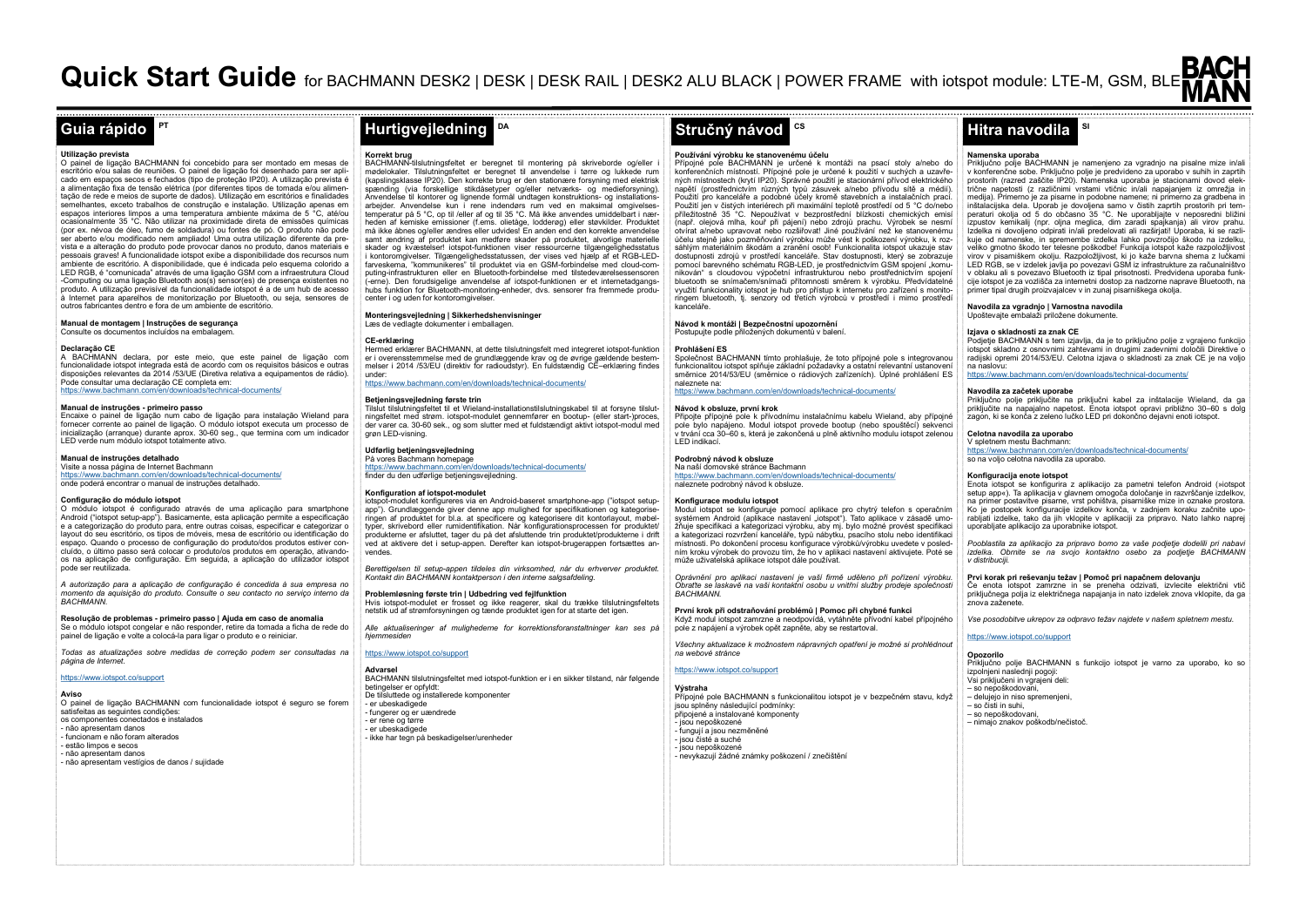# **PT**

**Utilização prevista**<br>O painel de ligação BACHMANN foi concebido para ser montado em mesas de escritório e/ou salas de reuniões. O painel de ligação foi desenhado para ser apli-cado em espaços secos e fechados (tipo de proteção IP20). A utilização prevista é a alimentação fixa de tensão elétrica (por diferentes tipos de tomada e/ou alimentação de rede e meios de suporte de dados). Utilização em escritórios e finalidades semelhantes, exceto trabalhos de construção e instalação. Utilização apenas em espaços interiores limpos a uma temperatura ambiente máxima de 5 °C, até/ou ocasionalmente 35 °C. Não utilizar na proximidade direta de emissões químicas (por ex. névoa de óleo, fumo de soldadura) ou fontes de pó. O produto não pode ser aberto e/ou modificado nem ampliado! Uma outra utilização diferente da prevista e a alteração do produto pode provocar danos no produto, danos materiais e pessoais graves! A funcionalidade iotspot exibe a disponibilidade dos recursos num ambiente de escritório. A disponibilidade, que é indicada pelo esquema colorido a LED RGB, é "comunicada" através de uma ligação GSM com a infraestrutura Cloud -Computing ou uma ligação Bluetooth aos(s) sensor(es) de presença existentes no produto. A utilização previsível da funcionalidade iotspot é a de um hub de acesso à Internet para aparelhos de monitorização por Bluetooth, ou seja, sensores de outros fabricantes dentro e fora de um ambiente de escritório.

## **Manual de montagem | Instruções de segurança**

Consulte os documentos incluídos na embalagem.

# **Declaração CE**

A BACHMANN declara, por este meio, que este painel de ligação com funcionalidade iotspot integrada está de acordo com os requisitos básicos e outras disposições relevantes da 2014 /53/UE (Diretiva relativa a equipamentos de rádio). Pode consultar uma declaração CE completa em: https://www.bachmann.com/en/downloads/technical-documents/

#### **Manual de instruções - primeiro passo**

Encaixe o painel de ligação num cabo de ligação para instalação Wieland para fornecer corrente ao painel de ligação. O módulo iotspot executa um processo de inicialização (arranque) durante aprox. 30-60 seg., que termina com um indicador LED verde num módulo iotspot totalmente ativo.

#### **Manual de instruções detalhado**

Visite a nossa página de Internet Bachmann https://www.bachmann.com/en/downloads/technical-documents/ onde poderá encontrar o manual de instruções detalhado.

#### **Configuração do módulo iotspot**

O módulo iotspot é configurado através de uma aplicação para smartphone Android ("iotspot setup-app"). Basicamente, esta aplicação permite a especificação e a categorização do produto para, entre outras coisas, especificar e categorizar o layout do seu escritório, os tipos de móveis, mesa de escritório ou identificação do espaço. Quando o processo de configuração do produto/dos produtos estiver concluído, o último passo será colocar o produto/os produtos em operação, ativandoos na aplicação de configuração. Em seguida, a aplicação do utilizador iotspot pode ser reutilizada.

*A autorização para a aplicação de configuração é concedida à sua empresa no momento da aquisição do produto. Consulte o seu contacto no serviço interno da BACHMANN.* 

# **Resolução de problemas - primeiro passo | Ajuda em caso de anomalia**

Se o módulo iotspot congelar e não responder, retire da tomada a ficha de rede do painel de ligação e volte a colocá-la para ligar o produto e o reiniciar.

*Todas as atualizações sobre medidas de correção podem ser consultadas na página de Internet.*

https://www.iotspot.co/support

**Aviso**

#### O painel de ligação BACHMANN com funcionalidade iotspot é seguro se forem satisfeitas as seguintes condições: os componentes conectados e instalados - não apresentam danos - funcionam e não foram alterados - estão limpos e secos - não apresentam danos

- não apresentam vestígios de danos / sujidade

#### **Korrekt brug**

BACHMANN-tilslutningsfeltet er beregnet til montering på skriveborde og/eller i mødelokaler. Tilslutningsfeltet er beregnet til anvendelse i tørre og lukkede rum (kapslingsklasse IP20). Den korrekte brug er den stationære forsyning med elektrisk spænding (via forskellige stikdåsetyper og/eller netværks- og medieforsyning). Anvendelse til kontorer og lignende formål undtagen konstruktions- og installationsarbejder. Anvendelse kun i rene indendørs rum ved en maksimal omgivelses-temperatur på 5 °C, op til /eller af og til 35 °C. Må ikke anvendes umiddelbart i nærheden af kemiske emissioner (f.ems. olietåge, lodderøg) eller støvkilder. Produktet må ikke åbnes og/eller ændres eller udvides! En anden end den korrekte anvendelse samt ændring af produktet kan medføre skader på produktet, alvorlige materielle skader og kvæstelser! iotspot-funktionen viser ressourcerne tilgængelighedsstatus i kontoromgivelser. Tilgængelighedsstatussen, der vises ved hjælp af et RGB-LEDfarveskema, "kommunikeres" til produktet via en GSM-forbindelse med cloud-computing-infrastrukturen eller en Bluetooth-forbindelse med tilstedeværelsessensoren (-erne). Den forudsigelige anvendelse af iotspot-funktionen er et internetadgangshubs funktion for Bluetooth-monitoring-enheder, dvs. sensorer fra fremmede producenter i og uden for kontoromgivelser.

**DA**

# **Monteringsvejledning | Sikkerhedshenvisninger**<br>Læs de vedlagte dokumenter i emballagen.

## **CE-erklæring**

Hermed erklærer BACHMANN, at dette tilslutningsfelt med integreret iotspot-funktion er i overensstemmelse med de grundlæggende krav og de øvrige gældende bestem-melser i 2014 /53/EU (direktiv for radioudstyr). En fuldstændig CE–erklæring findes under:

w hachmann.com/en/downloads/technical-documents/

# **Betjeningsvejledning første trin**

Tilslut tilslutningsfeltet til et Wieland-installationstilslutningskabel til at forsyne tilslutningsfeltet med strøm. iotspot-modulet gennemfører en bootup- (eller start-)proces, der varer ca. 30-60 sek., og som slutter med et fuldstændigt aktivt iotspot-modul med grøn LED-visning.

#### **Udførlig betjeningsvejledning**  På vores Bachmann homepage

https://www.bachmann.com/en/downloads/technical-documents/ finder du den udførlige betjeningsvejledning.

#### **Konfiguration af iotspot-modulet**

iotspot-modulet konfigureres via en Android-baseret smartphone-app ("iotspot setupapp"). Grundlæggende giver denne app mulighed for specifikationen og kategoriseringen af produktet for bl.a. at specificere og kategorisere dit kontorlayout, møbeltyper, skrivebord eller rumidentifikation. Når konfigurationsprocessen for produktet/ produkterne er afsluttet, tager du på det afsluttende trin produktet/produkterne i drift ved at aktivere det i setup-appen. Derefter kan iotspot-brugerappen fortsættes anvendes.

*Berettigelsen til setup-appen tildeles din virksomhed, når du erhverver produktet. Kontakt din BACHMANN kontaktperson i den interne salgsafdeling.* 

**Problemløsning første trin | Udbedring ved fejlfunktion** Hvis iotspot-modulet er frosset og ikke reagerer, skal du trække tilslutningsfeltets netstik ud af strømforsyningen og tænde produktet igen for at starte det igen.

*Alle aktualiseringer af mulighederne for korrektionsforanstaltninger kan ses på hjemmesiden* 

# https://www.iotspot.co/support

**Advarsel** BACHMANN tilslutningsfeltet med iotspot-funktion er i en sikker tilstand, når følgende betingelser er opfyldt: De tilsluttede og installerede komponenter - er ubeskadigede - fungerer og er uændrede er rene og tørre - er ubeskadigede - ikke har tegn på beskadigelser/urenheder

# **CS Guia rápido Hurtigvejledning Stručný návod Hitra navodila**

### **Používání výrobku ke stanovenému účelu**

Přípojné pole BACHMANN je určené k montáži na psací stoly a/nebo do konferenčních místností. Přípojné pole je určené k použití v suchých a uzavřených místnostech (krytí IP20). Správné použití je stacionární přívod elektrického napětí (prostřednictvím různých typů zásuvek a/nebo přívodu sítě a médií). Použití pro kanceláře a podobné účely kromě stavebních a instalačních prací. Použití jen v čistých interiérech při maximální teplotě prostředí od 5 °C do/nebo příležitostně 35 °C. Nepoužívat v bezprostřední blízkosti chemických emisí (např. olejová mlha, kouř při pájení) nebo zdrojů prachu. Výrobek se nesmí otvírat a/nebo upravovat nebo rozšiřovat! Jiné používání než ke stanovenému účelu stejně jako pozměňování výrobku může vést k poškození výrobku, k rozsáhlým materiálním škodám a zranění osob! Funkcionalita iotspot ukazuje stav dostupnosti zdrojů v prostředí kanceláře. Stav dostupnosti, který se zobrazuje pomocí barevného schématu RGB-LED, je prostřednictvím GSM spojení "komunikován" s cloudovou výpočetní infrastrukturou nebo prostřednictvím spojení bluetooth se snímačem/snímači přítomnosti směrem k výrobku. Předvídatelné využití funkcionality iotspot je hub pro přístup k internetu pro zařízení s monitoringem bluetooth, tj. senzory od třetích výrobců v prostředí i mimo prostředí kanceláře

# **Návod k montáži | Bezpečnostní upozornění**

Postupujte podle přiložených dokumentů v balení.

### **Prohlášení ES**

Společnost BACHMANN tímto prohlašuje, že toto přípojné pole s integrovanou funkcionalitou iotspot splňuje základní požadavky a ostatní relevantní ustanovení směrnice 2014/53/EU (směrnice o rádiových zařízeních). Úplné prohlášení ES naleznete na:

# https://www.bachmann.com/en/downloads/technical-documents/

# **Návod k obsluze, první krok**

Připojte přípojné pole k přívodnímu instalačnímu kabelu Wieland, aby přípojné pole bylo napájeno. Modul iotspot provede bootup (nebo spouštěcí) sekvenci v trvání cca 30–60 s, která je zakončená u plně aktivního modulu iotspot zelenou LED indikací.

#### **Podrobný návod k obsluze**  Na naší domovské stránce Bachmann

https://www.bachmann.com/en/downloads/technical-documents/ naleznete podrobný návod k obsluze.

## **Konfigurace modulu iotspot**

Modul iotspot se konfiguruje pomocí aplikace pro chytrý telefon s operačním systémem Android (aplikace nastavení "iotspot"). Tato aplikace v zásadě umožňuje specifikaci a kategorizaci výrobku, aby mj. bylo možné provést specifikaci a kategorizaci rozvržení kanceláře, typů nábytku, psacího stolu nebo identifikaci místnosti. Po dokončení procesu konfigurace výrobků/výrobku uvedete v posled-ním kroku výrobek do provozu tím, že ho v aplikaci nastavení aktivujete. Poté se mí kroku vyrobek do provozu tím, že no v aplik<br>může uživatelská aplikace iotspot dále používat.

*Oprávnění pro aplikaci nastavení je vaší firmě uděleno při pořízení výrobku. Obraťte se laskavě na vaši kontaktní osobu u vnitřní služby prodeje společnosti BACHMANN.* 

**První krok při odstraňování problémů | Pomoc při chybné funkci** Když modul iotspot zamrzne a neodpovídá, vytáhněte přívodní kabel přípojného pole z napájení a výrobek opět zapněte, aby se restartoval.

*Všechny aktualizace k možnostem nápravných opatření je možné si prohlédnout na webové stránce* 

### <https://www.iotspot.co/support>

**Výstraha** Přípojné pole BACHMANN s funkcionalitou iotspot je v bezpečném stavu, když jsou splněny následující podmínky: připojené a instalované komponenty - jsou nepoškozené - fungují a jsou nezměněné - jsou čisté a suché - jsou nepoškozené - nevykazují žádné známky poškození / znečištění

# **Namenska uporaba**

Priključno polje BACHMANN je namenjeno za vgradnjo na pisalne mize in/ali v konferenčne sobe. Priključno polje je predvideno za uporabo v suhih in zaprtih prostorih (razred zaščite IP20). Namenska uporaba je stacionarni dovod elek-trične napetosti (z različnimi vrstami vtičnic in/ali napajanjem iz omrežja in medija). Primerno je za pisarne in podobne namene; ni primerno za gradbena in inštalacijska dela. Uporab je dovoljena samo v čistih zaprtih prostorih pri tem-peraturi okolja od 5 do občasno 35 °C. Ne uporabljajte v neposredni bližini izpustov kemikalij (npr. oljna meglica, dim zaradi spajkanja) ali virov prahu. Izdelka ni dovoljeno odpirati in/ali predelovati ali razširjati! Uporaba, ki se razlikuje od namenske, in spremembe izdelka lahko povzročijo škodo na izdelku, veliko gmotno škodo ter telesne poškodbe! Funkcija iotspot kaže razpoložljivost virov v pisarniškem okolju. Razpoložljivost, ki jo kaže barvna shema z lučkami LED RGB, se v izdelek javlja po povezavi GSM iz infrastrukture za računalništvo v oblaku ali s povezavo Bluetooth iz tipal prisotnosti. Predvidena uporaba funkcije iotspot je za vozlišča za internetni dostop za nadzorne naprave Bluetooth, na primer tipal drugih proizvajalcev v in zunaj pisarniškega okolja.

**SI**

#### **Navodila za vgradnjo | Varnostna navodila** Upoštevajte embalaži priložene dokumente.

# **Izjava o skladnosti za znak CE**

Podjetje BACHMANN s tem izjavlja, da je to priključno polje z vgrajeno funkcijo iotspot skladno z osnovnimi zahtevami in drugimi zadevnimi določili Direktive o radijski opremi 2014/53/EU. Celotna izjava o skladnosti za znak CE je na voljo na naslovu:

na nasiovu.<br>https://www.bachmann.com/en/downloads/technical-documents/

# **Navodila za začetek uporabe**

Priključno polje priključite na priključni kabel za inštalacije Wieland, da ga priključite na napajalno napetost. Enota iotspot opravi približno 30–60 s dolg zagon, ki se konča z zeleno lučko LED pri dokončno dejavni enoti iotspot.

# **Celotna navodila za uporabo**

V spletnem mestu Bachmann: https://www.bachmann.com/en/downloads/technical-documents/ so na voljo celotna navodila za uporabo.

# **Konfiguracija enote iotspot**

Enota iotspot se konfigurira z aplikacijo za pametni telefon Android (»iotspot setup app«). Ta aplikacija v glavnem omogoča določanje in razvrščanje izdelkov, na primer postavitve pisarne, vrst pohištva, pisarniške mize in oznake prostora. Ko je postopek konfiguracije izdelkov konča, v zadnjem koraku začnite uporabljati izdelke, tako da jih vklopite v aplikaciji za pripravo. Nato lahko naprej uporabljate aplikacijo za uporabnike iotspot.

*Pooblastila za aplikacijo za pripravo bomo za vaše podjetje dodelili pri nabavi izdelka. Obrnite se na svojo kontaktno osebo za podjetje BACHMANN v distribuciji.* 

**Prvi korak pri reševanju težav | Pomoč pri napačnem delovanju** Če enota iotspot zamrzne in se preneha odzivati, izvlecite električni vtič priključnega polja iz električnega napajanja in nato izdelek znova vklopite, da ga znova zaženete.

*Vse posodobitve ukrepov za odpravo težav najdete v našem spletnem mestu.* 

# <https://www.iotspot.co/support>

# **Opozorilo**

Priključno polje BACHMANN s funkcijo iotspot je varno za uporabo, ko so izpolnjeni naslednji pogoji: Vsi priključeni in vgrajeni deli: – so nepoškodovani, – delujejo in niso spremenjeni, – so čisti in suhi, – so nepoškodovani, – nimajo znakov poškodb/nečistoč.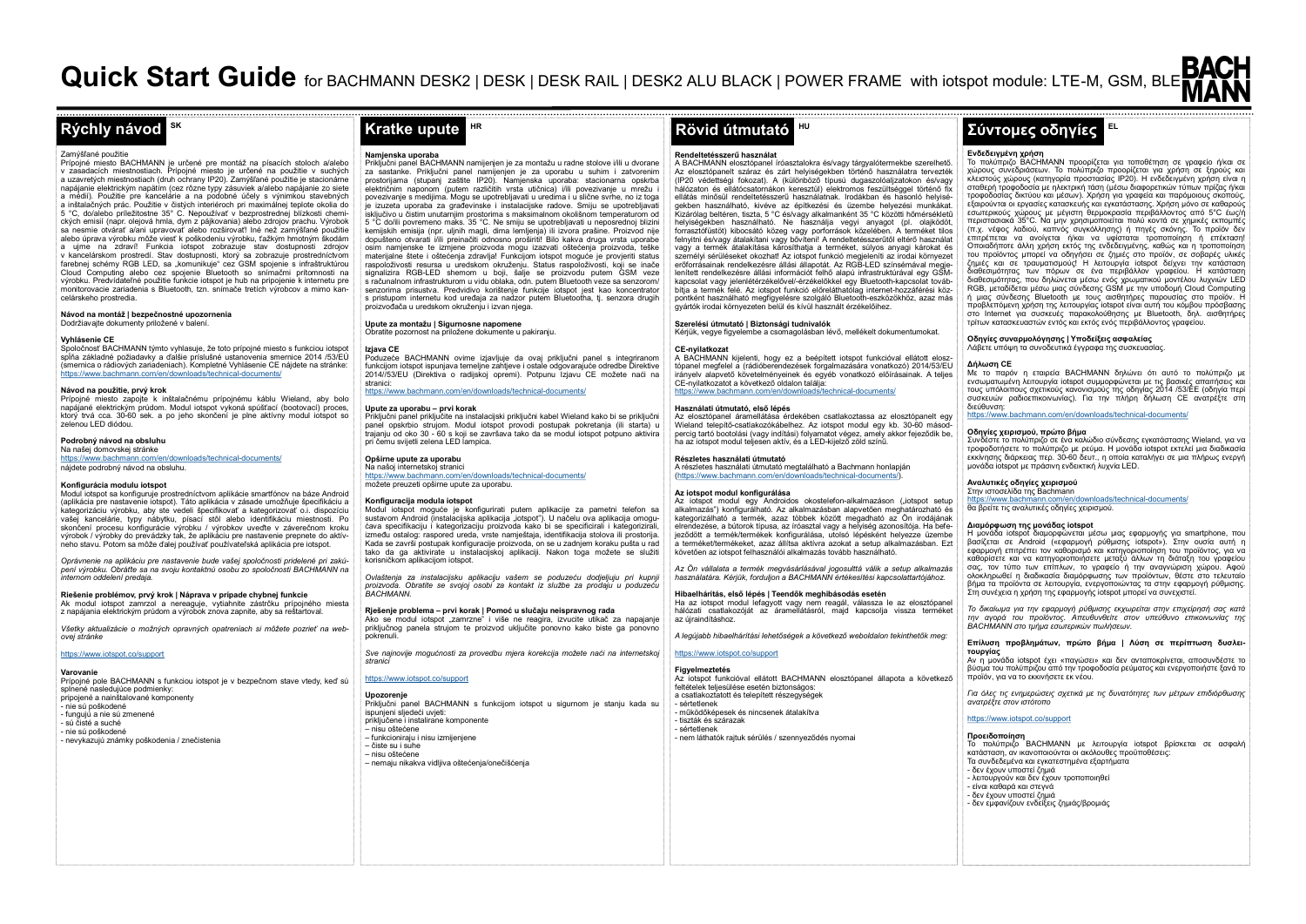# **SK**

#### Zamýšľané použitie

Prípojné miesto BACHMANN je určené pre montáž na písacích stoloch a/alebo v zasadacích miestnostiach. Prípojné miesto je určené na použitie v suchých a uzavretých miestnostiach (druh ochrany IP20). Zamýšľané použitie je stacionárne napájanie elektrickým napätím (cez rôzne typy zásuviek a/alebo napájanie zo siete a médií). Použitie pre kancelárie a na podobné účely s výnimkou stavebných a inštalačných prác. Použitie v čistých interiéroch pri maximálnej teplote okolia do 5 °C, do/alebo príležitostne 35° C. Nepoužívať v bezprostrednej blízkosti chemických emisií (napr. olejová hmla, dym z pájkovania) alebo zdrojov prachu. Výrobok sa nesmie otvárať a/ani upravovať alebo rozširovať! Iné než zamýšľané použitie alebo úprava výrobku môže viesť k poškodeniu výrobku, ťažkým hmotným škodám a ujme na zdraví! Funkcia iotspot zobrazuje stav dostupnosti zdrojov v kancelárskom prostredí. Stav dostupnosti, ktorý sa zobrazuje prostredníctvom farebnej schémy RGB LED, sa "komunikuje" cez GSM spojenie s infraštruktúrou Cloud Computing alebo cez spojenie Bluetooth so snímačmi prítomnosti na výrobku. Predvídateľné použitie funkcie iotspot je hub na pripojenie k internetu pre monitorovacie zariadenia s Bluetooth, tzn. snímače tretích výrobcov a mimo kancelárskeho prostredia.

**Návod na montáž | bezpečnostné upozornenia** Dodržiavajte dokumenty priložené v balení.

# **Vyhlásenie CE**

Spoločnosť BACHMANN týmto vyhlasuje, že toto prípojné miesto s funkciou iotspot spĺňa základné požiadavky a ďalšie príslušné ustanovenia smernice 2014 /53/EÚ<br>(smernica o rádiových zariadeniach). Kompletné Vyhlásenie CE nájdete na stránke: https://www.bachmann.com/en/downloads/technical-documents/

# **Návod na použitie, prvý krok**

Prípojné miesto zapojte k inštalačnému prípojnému káblu Wieland, aby bolo napájané elektrickým prúdom. Modul iotspot vykoná spúšťací (bootovací) proces, ktorý trvá cca. 30-60 sek. a po jeho skončení je plne aktívny modul iotspot so zelenou LED diódou.

# **Podrobný návod na obsluhu**

Na našej domovskej stránke https://www.bachmann.com/en/downloads/technical-documents/

nájdete podrobný návod na obsluhu.

### **Konfigurácia modulu iotspot**

Modul iotspot sa konfiguruje prostredníctvom aplikácie smartfónov na báze Android (aplikácia pre nastavenie iotspot). Táto aplikácia v zásade umožňuje špecifikáciu a kategorizáciu výrobku, aby ste vedeli špecifikovať a kategorizovať o.i. dispozíciu vašej kancelárie, typy nábytku, písací stôl alebo identifikáciu miestnosti. Po skončení procesu konfigurácie výrobku / výrobkov uveďte v záverečnom kroku výrobok / výrobky do prevádzky tak, že aplikáciu pre nastavenie prepnete do aktívneho stavu. Potom sa môže ďalej používať používateľská aplikácia pre iotspot.

*Oprávnenie na aplikáciu pre nastavenie bude vašej spoločnosti pridelené pri zakúpení výrobku. Obráťte sa na svoju kontaktnú osobu zo spoločnosti BACHMANN na internom oddelení predaja.* 

**Riešenie problémov, prvý krok | Náprava v prípade chybnej funkcie** Ak modul iotspot zamrzol a nereaguje, vytiahnite zástrčku prípojného miesta z napájania elektrickým prúdom a výrobok znova zapnite, aby sa reštartoval.

*Všetky aktualizácie o možných opravných opatreniach si môžete pozrieť na webovej stránke* 

<https://www.iotspot.co/support>

# **Varovanie**

Prípojné pole BACHMANN s funkciou iotspot je v bezpečnom stave vtedy, keď sú splnené nasledujúce podmienky: principe indicativne producinej. - nie sú poškodené - fungujú a nie sú zmenené - sú čisté a suché - nie sú poškodené - nevykazujú známky poškodenia / znečistenia

# **HR**

### **Namjenska uporaba**

Priključni panel BACHMANN namijenjen je za montažu u radne stolove i/ili u dvorane za sastanke. Priključni panel namijenjen je za uporabu u suhim i zatvorenim prostorijama (stupanj zaštite IP20). Namjenska uporaba: stacionarna opskrba električnim naponom (putem različitih vrsta utičnica) i/ili povezivanje u mrežu i povezivanje s medijima. Mogu se upotrebljavati u uredima i u slične svrhe, no iz toga je izuzeta uporaba za građevinske i instalacijske radove. Smiju se upotrebljavati isključivo u čistim unutarnjim prostorima s maksimalnom okolišnom temperaturom od 5 °C do/ili povremeno maks. 35 °C. Ne smiju se upotrebljavati u neposrednoj blizini kemijskih emisija (npr. uljnih magli, dima lemljenja) ili izvora prašine. Proizvod nije dopušteno otvarati i/ili preinačiti odnosno proširiti! Bilo kakva druga vrsta uporabe osim namjenske te izmjene proizvoda mogu izazvati oštećenja proizvoda, teške materijalne štete i oštećenja zdravlja! Funkcijom iotspot moguće je provjeriti status raspoloživosti resursa u uredskom okruženju. Status raspoloživosti, koji se inače signalizira RGB-LED shemom u boji, šalje se proizvodu putem GSM veze s računalnom infrastrukturom u vidu oblaka, odn. putem Bluetooth veze sa senzorom/ senzorima prisustva. Predvidivo korištenje funkcije iotspot jest kao koncentrator s pristupom internetu kod uređaja za nadzor putem Bluetootha, tj. senzora drugih proizvođača u uredskom okruženju i izvan njega.

#### **Upute za montažu | Sigurnosne napomene** Obratite pozornost na priložene dokumente u pakiranju.

# **Izjava CE**

Poduzeće BACHMANN ovime izjavljuje da ovaj priključni panel s integriranom funkcijom iotspot ispunjava temeljne zahtjeve i ostale odgovarajuće odredbe Direktive 2014//53/EU (Direktiva o radijskoj opremi). Potpunu Izjavu CE možete naći na stranici:

# https://www.bachmann.com/en/downloads/technical-documents/

#### **Upute za uporabu – prvi korak**

Priključni panel priključite na instalacijski priključni kabel Wieland kako bi se priključni panel opskrbio strujom. Modul iotspot provodi postupak pokretanja (ili starta) u trajanju od oko 30 - 60 s koji se završava tako da se modul iotspot potpuno aktivira pri čemu svijetli zelena LED lampica.

## **Opširne upute za uporabu**

Na našoj internetskoj stranici https://www.bachmann.com/en/downloads/technical-documents/ možete preuzeti opširne upute za uporabu.

#### **Konfiguracija modula iotspot**

Modul iotspot moguće je konfigurirati putem aplikacije za pametni telefon sa sustavom Android (instalacijska aplikacija "iotspot"). U načelu ova aplikacija omogućava specifikaciju i kategorizaciju proizvoda kako bi se specificirali i kategorizirali, između ostalog: raspored ureda, vrste namještaja, identifikacija stolova ili prostorija. Kada se završi postupak konfiguracije proizvoda, on se u zadnjem koraku pušta u rad tako da ga aktivirate u instalacijskoj aplikaciji. Nakon toga možete se služiti korisničkom aplikacijom iotspot.

*Ovlaštenja za instalacijsku aplikaciju vašem se poduzeću dodjeljuju pri kupnji proizvoda. Obratite se svojoj osobi za kontakt iz službe za prodaju u poduzeću BACHMANN.* 

#### **Rješenje problema – prvi korak | Pomoć u slučaju neispravnog rada** Ako se modul iotspot "zamrzne" i više ne reagira, izvucite utikač za napajanje priključnog panela strujom te proizvod uključite ponovno kako biste ga ponovno

*Sve najnovije mogućnosti za provedbu mjera korekcija možete naći na internetskoj stranici* 

#### tps://www.iotspot.co/support

pokrenuli.

**Upozorenje** Priključni panel BACHMANN s funkcijom iotspot u sigurnom je stanju kada su ispunjeni sljedeći uvjeti: priključene i instalirane komponente – nisu oštećene – funkcioniraju i nisu izmijenjene – čiste su i suhe – nisu oštećene – nemaju nikakva vidljiva oštećenja/onečišćenja

# **HU**

#### **Rendeltetésszerű használat**

A BACHMANN elosztópanel íróasztalokra és/vagy tárgyalótermekbe szerelhető. Az elosztópanelt száraz és zárt helyiségekben történő használatra tervezték (IP20 védettségi fokozat). A (különböző típusú dugaszolóaljzatokon és/vagy hálózaton és ellátócsatornákon keresztül) elektromos feszültséggel történő fix ellátás minősül rendeltetésszerű használatnak. Irodákban és hasonló helyiségekben használható, kivéve az építkezési és üzembe helyezési munkákat. Kizárólag beltéren, tiszta, 5 °C és/vagy alkalmanként 35 °C közötti hőmérsékletű helyiségekben használható. Ne használja vegyi anyagot (pl. olajködöt, forrasztófüstöt) kibocsátó közeg vagy porforrások közelében. A terméket tilos felnyitni és/vagy átalakítani vagy bővíteni! A rendeltetésszerűtől eltérő használat vagy a termék átalakítása károsíthatja a terméket, súlyos anyagi károkat és személyi sérüléseket okozhat! Az iotspot funkció megjeleníti az irodai környezet erőforrásainak rendelkezésre állási állapotát. Az RGB-LED színsémával megjelenített rendelkezésre állási információt felhő alapú infrastruktúrával egy GSMkapcsolat vagy jelenlétérzékelővel/-érzékelőkkel egy Bluetooth-kapcsolat továbbítja a termék felé. Az iotspot funkció előreláthatólag internet-hozzáférési központként használható megfigyelésre szolgáló Bluetooth-eszközökhöz, azaz más gyártók irodai környezeten belül és kívül használt érzékelőihez.

# **Szerelési útmutató | Biztonsági tudnivalók**

Kérjük, vegye figyelembe a csomagolásban lévő, mellékelt dokumentumokat.

## **CE-nyilatkozat**

A BACHMANN kijelenti, hogy ez a beépített iotspot funkcióval ellátott elosztópanel megfelel a (rádióberendezések forgalmazására vonatkozó) 2014/53/EU irányelv alapvető követelményeinek és egyéb vonatkozó előírásainak. A teljes CE-nyilatkozatot a következő oldalon találja:  $m$ www.bachmann.com/

### **Használati útmutató, első lépés**

Az elosztópanel áramellátása érdekében csatlakoztassa az elosztópanelt egy Wieland telepítő-csatlakozókábelhez. Az iotspot modul egy kb. 30-60 másodpercig tartó bootolási (vagy indítási) folyamatot végez, amely akkor fejeződik be, ha az iotspot modul teljesen aktív, és a LED-kijelző zöld színű.

# **Részletes használati útmutató**

A részletes használati útmutató megtalálható a Bachmann honlapján (https://www.bachmann.com/en/downloads/technical-documents/).

# **Az iotspot modul konfigurálása**

Az iotspot modul egy Androidos okostelefon-alkalmazáson ("iotspot setup alkalmazás") konfigurálható. Az alkalmazásban alapvetően meghatározható és kategorizálható a termék, azaz többek között megadható az Ön irodájának elrendezése, a bútorok típusa, az íróasztal vagy a helyiség azonosítója. Ha befejeződött a termék/termékek konfigurálása, utolsó lépésként helyezze üzembe a terméket/termékeket, azaz állítsa aktívra azokat a setup alkalmazásban. Ezt követően az iotspot felhasználói alkalmazás tovább használható.

*Az Ön vállalata a termék megvásárlásával jogosulttá válik a setup alkalmazás használatára. Kérjük, forduljon a BACHMANN értékesítési kapcsolattartójához.* 

#### **Hibaelhárítás, első lépés | Teendők meghibásodás esetén** Ha az iotspot modul lefagyott vagy nem reagál, válassza le az elosztópanel hálózati csatlakozóját az áramellátásról, majd kapcsolja vissza terméket

az újraindításhoz. *A legújabb hibaelhárítási lehetőségek a következő weboldalon tekinthetők meg:* 

# https://www.iotspot.co/support

**Figyelmeztetés** Az iotspot funkcióval ellátott BACHMANN elosztópanel állapota a következő feltételek teljesülése esetén biztonságos: a csatlakoztatott és telepített részegységek a osan.....<br>- sértetlenek - működőképesek és nincsenek átalakítva - tiszták és szárazak - sértetlenek - nem láthatók rajtuk sérülés / szennyeződés nyomai

# **Rýchly návod Kratke upute Rövid útmutató Σύντομες οδηγίες**

# **Ενδεδειγμένη χρήση**

Το πολύπριζο BACHMANN προορίζεται για τοποθέτηση σε γραφείο ή/και σε<br>χώρους συνεδριάσεων. Το πολύπριζο προορίζεται για χρήση σε ξηρούς και<br>κλειστούς χώρους (κατηγορία προστασίας IP20). Η ενδεδειγμένη χρήση είναι η σταθερή τροφοδοσία με ηλεκτρική τάση (μέσω διαφορετικών τύπων πρίζας ή/και τροφοδοσίας δικτύου και μέσων). Χρήση για γραφεία και παρόμοιους σκοπούς, εξαιρούνται οι εργασίες κατασκευής και εγκατάστασης. Χρήση μόνο σε καθαρούς εσωτερικούς χώρους με μέγιστη θερμοκρασία περιβάλλοντος από 5°C έως/ή περιστασιακά 35°C. Να μην χρησιμοποιείται πολύ κοντά σε χημικές εκπομπές (π.χ. νέφος λαδιού, καπνός συγκόλλησης) ή πηγές σκόνης. Το προϊόν δεν επιτρέπεται να ανοίγεται ή/και να υφίσταται τροποποίηση ή επέκταση! Οποιαδήποτε άλλη χρήση εκτός της ενδεδειγμένης, καθώς και η τροποποίηση του προϊόντος μπορεί να οδηγήσει σε ζημιές στο προϊόν, σε σοβαρές υλικές ζημιές και σε τραυματισμούς! Η λειτουργία iotspot δείχνει την κατάσταση διαθεσιμότητας των πόρων σε ένα περιβάλλον γραφείου. Η κατάσταση διαθεσιμότητας, που δηλώνεται μέσω ενός χρωματικού μοντέλου λυχνιών LED RGB, μεταδίδεται μέσω μιας σύνδεσης GSM με την υποδομή Cloud Computing ή μιας σύνδεσης Bluetooth με τους αισθητήρες παρουσίας στο προϊόν. Η προβλεπόμενη χρήση της λειτουργίας iotspot είναι αυτή του κόμβου πρόσβασης στο Internet για συσκευές παρακολούθησης με Bluetooth, δηλ. αισθητήρες τρίτων κατασκευαστών εντός και εκτός ενός περιβάλλοντος γραφείου.

**EL**

# **Οδηγίες συναρμολόγησης | Υποδείξεις ασφαλείας**

Λάβετε υπόψη τα συνοδευτικά έγγραφα της συσκευασίας.

# **Δήλωση CE**

Με το παρόν η εταιρεία BACHMANN δηλώνει ότι αυτό το πολύπριζο με ενσωματωμένη λειτουργία iotspot συμμορφώνεται με τις βασικές απαιτήσεις και τους υπόλοιπους σχετικούς κανονισμούς της οδηγίας 2014 /53/ΕΕ (οδηγία περί συσκευών ραδιοεπικοινωνίας). Για την πλήρη δήλωση CE ανατρέξτε στη διεύθυνση:

https://www.bachmann.com/en/downloads/technical-documents/

# **Οδηγίες χειρισμού, πρώτο βήμα**

Συνδέστε το πολύπριζο σε ένα καλώδιο σύνδεσης εγκατάστασης Wieland, για να τροφοδοτήσετε το πολύπριζο με ρεύμα. Η μονάδα iotspot εκτελεί μια διαδικασία εκκίνησης διάρκειας περ. 30-60 δευτ., η οποία καταλήγει σε μια πλήρως ενεργή μονάδα iotspot με πράσινη ενδεικτική λυχνία LED.

# **Αναλυτικές οδηγίες χειρισμού**

Στην ιστοσελίδα της Bachmann https://www.bachmann.com/en/downloads/technical-documents/ θα βρείτε τις αναλυτικές οδηγίες χειρισμού.

# **Διαμόρφωση της μονάδας iotspot**

Η μονάδα iotspot διαμορφώνεται μέσω μιας εφαρμογής για smartphone, που βασίζεται σε Android («εφαρμογή ρύθμισης iotspot»). Στην ουσία αυτή η εφαρμογή επιτρέπει τον καθορισμό και κατηγοριοποίηση του προϊόντος, για να καθορίσετε και να κατηγοριοποιήσετε μεταξύ άλλων τη διάταξη του γραφείου σας, τον τύπο των επίπλων, το γραφείο ή την αναγνώριση χώρου. Αφού ολοκληρωθεί η διαδικασία διαμόρφωσης των προϊόντων, θέστε στο τελευταίο βήμα τα προϊόντα σε λειτουργία, ενεργοποιώντας τα στην εφαρμογή ρύθμισης. Στη συνέχεια η χρήση της εφαρμογής iotspot μπορεί να συνεχιστεί.

*Το δικαίωμα για την εφαρμογή ρύθμισης εκχωρείται στην επιχείρησή σας κατά την αγορά του προϊόντος. Απευθυνθείτε στον υπεύθυνο επικοινωνίας της BACHMANN στο τμήμα εσωτερικών πωλήσεων.* 

### **Επίλυση προβλημάτων, πρώτο βήμα | Λύση σε περίπτωση δυσλειτουργίας**

Αν η μονάδα iotspot έχει «παγώσει» και δεν ανταποκρίνεται, αποσυνδέστε το βύσμα του πολύπριζου από την τροφοδοσία ρεύματος και ενεργοποιήστε ξανά το προϊόν, για να το εκκινήσετε εκ νέου.

*Για όλες τις ενημερώσεις σχετικά με τις δυνατότητες των μέτρων επιδιόρθωσης ανατρέξτε στον ιστότοπο* 

# https://www.iotspot.co/support

**Προειδοποίηση** Το πολύπριζο BACHMANN με λειτουργία iotspot βρίσκεται σε ασφαλή κατάσταση, αν ικανοποιούνται οι ακόλουθες προϋποθέσεις: Τα συνδεδεμένα και εγκατεστημένα εξαρτήματα - δεν έχουν υποστεί ζημιά - λειτουργούν και δεν έχουν τροποποιηθεί - είναι καθαρά και στεγνά - δεν έχουν υποστεί ζημιά - δεν εμφανίζουν ενδείξεις ζημιάς/βρομιάς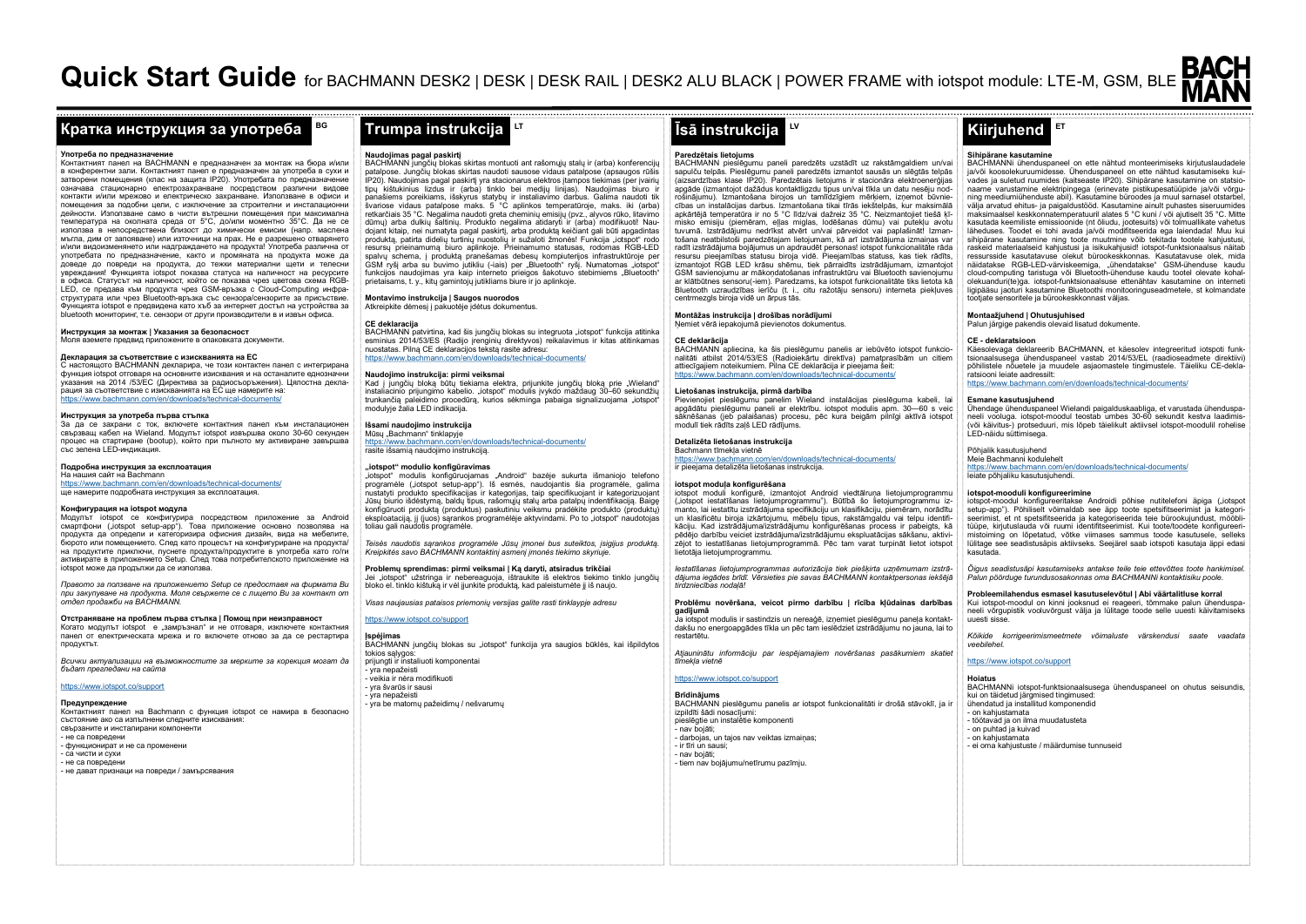# **Кратка инструкция за употреба Trumpa instrukcija Īsā instrukcija Kiirjuhend**

**BG**

# **Употреба по предназначен**

Контактният панел на BACHMANN е предназначен за монтаж на бюра и/или в конферентни зали. Контактният панел е предназначен за употреба в сухи и затворени помещения (клас на защита IP20). Употребата по предназначение означава стационарно електрозахранване посредством различни видове контакти и/или мрежово и електрическо захранване. Използване в офиси и помещения за подобни цели, с изключение за строителни и инсталационни дейности. Използване само в чисти вътрешни помещения при максимална температура на околната среда от 5°C, до/или моментно 35°C. Да не се използва в непосредствена близост до химически емисии (напр. маслена мъгла, дим от запояване) или източници на прах. Не е разрешено отварянето и/или видоизменянето или надграждането на продукта! Употреба различна от употребата по предназначение, както и промяната на продукта може да доведе до повреди на продукта, до тежки материални щети и телесни увреждания! Функцията iotspot показва статуса на наличност на ресурсите в офиса. Статусът на наличност, който се показва чрез цветова схема RGB-LED, се предава към продукта чрез GSM-връзка с Cloud-Computing инфраструктурата или чрез Bluetooth-връзка със сензора/сензорите за присъствие. Функцията iotspot е предвидена като хъб за интернет достъп на устройства за bluetooth мониторинг, т.е. сензори от други производители в и извън офиса.

**Инструкция за монтаж | Указания за безопасност**

Моля вземете предвид приложените в опаковката документи.

## **Декларация за съответствие с изискванията на ЕС**

С настоящото BACHMANN декларира, че този контактен панел с интегрирана функция iotspot отговаря на основните изисквания и на останалите еднозначни указания на 2014 /53/ЕС (Директива за радиосъоръжения). Цялостна декларация за съответствие с изискванията на ЕС ще намерите на: https://www.bachmann.com/en/downloads/technical-documents/

# **Инструкция за употреба първа стъпка**

За да се захрани с ток, включете контактния панел към инсталационен свързващ кабел на Wieland. Модулът iotspot извършва около 30-60 секундeн процес на стартиране (bootup), който при пълното му активиране завършва със зелена LED-индикация.

# **Подробна инструкция за експлоатация**

На нашия сайт на Bachmann https://www.bachmann.com/en/downloads/technical-documents/

# ще намерите подробната инструкция за експлоатация.

## **Конфигурация на iotspot модула**

Модулът iotspot се конфигурира посредством приложение за Android смартфони ("iotspot setup-app"). Това приложение основно позволява на продукта да определи и категоризира офисния дизайн, вида на мебелите, бюрото или помещението. След като процесът на конфигуриране на продукта/ на продуктите приключи, пуснете продукта/продуктите в употреба като го/ги активирате в приложението Setup. След това потребителското приложение на iotspot може да продължи да се използва.

*Правото за ползване на приложението Setup се предоставя на фирмата Ви при закупуване на продукта. Моля свържете се с лицето Ви за контакт от отдел продажби на BACHMANN.* 

**Отстраняване на проблем първа стъпка | Помощ при неизправност** Когато модулът iotspot е "замръзнал" и не отговаря, изключете контактния панел от електрическата мрежа и го включете отново за да се рестартира продуктът.

*Всички актуализации на възможностите за мерките за корекция могат да бъдат прегледани на сайта* 

# https://www.iotspot.co/support

#### **Предупреждение**

Контактният панел на Bachmann с функция iotspot се намира в безопасно състояние ако са изпълнени следните изисквания: свързаните и инсталирани компоненти - не са повредени - функционират и не са променени - са чисти и сухи - не са повредени - не дават признаци на повреди / замърсявания

**Naudojimas pagal paskirtį** BACHMANN jungčių blokas skirtas montuoti ant rašomųjų stalų ir (arba) konferencijų patalpose. Jungčių blokas skirtas naudoti sausose vidaus patalpose (apsaugos rūšis IP20). Naudojimas pagal paskirtį yra stacionarus elektros įtampos tiekimas (per įvairių tipų kištukinius lizdus ir (arba) tinklo bei medijų linijas). Naudojimas biuro ir panašiems poreikiams, išskyrus statybų ir instaliavimo darbus. Galima naudoti tik švariose vidaus patalpose maks. 5 °C aplinkos temperatūroje, maks. iki (arba) svariose vidaus pataipose maks. 5 °C apirinos temperaturoje, maks. iki (arba)<br>retkarčiais 35 °C. Negalima naudoti greta cheminių emisijų (pvz., alyvos rūko, litavimo dūmų) arba dulkių šaltinių. Produkto negalima atidaryti ir (arba) modifikuoti! Naudojant kitaip, nei numatyta pagal paskirtį, arba produktą keičiant gali būti apgadintas produktą, patirta didelių turtinių nuostolių ir sužaloti žmonės! Funkcija "iotspot" rodo resursų prieinamumą biuro aplinkoje. Prieinamumo statusas, rodomas RGB-LED spalvų schema, į produktą pranešamas debesų kompiuterijos infrastruktūroje per GSM ryšį arba su buvimo jutikliu (-iais) per "Bluetooth" ryšį. Numatomas "iotspot" funkcijos naudojimas yra kaip interneto prieigos šakotuvo stebimiems "Bluetooth" prietaisams, t. y., kitų gamintojų jutikliams biure ir jo aplinkoje.

**LT**

**Montavimo instrukcija | Saugos nuorodos** mentus ili **ili pakuotėje į paklavo ili providentus.**<br>Atkreipkite dėmesi į pakuotėje įdėtus dokumentus.

# **CE deklaracija**

BACHMANN patvirtina, kad šis jungčių blokas su integruota "iotspot" funkcija atitinka esminius 2014/53/ES (Radijo įrenginių direktyvos) reikalavimus ir kitas atitinkamas nuostatas. Pilną CE deklaracijos tekstą rasite adresu: https://www.bachmann.com/en/downloads/technical-documents/

### **Naudojimo instrukcija: pirmi veiksmai**

Kad į jungčių bloką būtų tiekiama elektra, prijunkite jungčių bloką prie "Wieland" instaliacinio prijungimo kabelio. "iotspot" modulis įvykdo maždaug 30–60 sekundžių trunkančią paleidimo procedūrą, kurios sėkminga pabaiga signalizuojama "iotspot" modulyje žalia LED indikacija.

**Išsami naudojimo instrukcija** 

Mūsų "Bachmann" tinklapyje https://www.bachmann.com/en/downloads/technical-documents/ rasite išsamią naudojimo instrukciją.

#### **"iotspot" modulio konfigūravimas**

"iotspot" modulis konfigūruojamas "Android" bazėje sukurta išmaniojo telefono programėle ("iotspot setup-app"). Iš esmės, naudojantis šia programėle, galima nustatyti produkto specifikacijas ir kategorijas, taip specifikuojant ir kategorizuojant Jūsų biurio išdėstymą, baldų tipus, rašomųjų stalų arba patalpų indentifikaciją. Baigę konfigūruoti produktą (produktus) paskutiniu veiksmu pradėkite produkto (produktų) eksploataciją, jį (juos) sąrankos programėlėje aktyvindami. Po to "iotspot" naudotojas<br>toliau gali naudotis programėle.

*Teisės naudotis sąrankos programėle Jūsų įmonei bus suteiktos, įsigijus produktą. Kreipkitės savo BACHMANN kontaktinį asmenį įmonės tiekimo skyriuje.* 

### **Problemų sprendimas: pirmi veiksmai | Ką daryti, atsiradus trikčiai**

Jei "iotspot" užstringa ir nebereaguoja, ištraukite iš elektros tiekimo tinklo jungčių<br>bloko el. tinklo kištuką ir vėl jjunkite produktą, kad paleistumėte jį iš naujo.

*Visas naujausias pataisos priemonių versijas galite rasti tinklaypje adresu* 

# https://www.iotspot.co/support

**Įspėjimas BACHMANN jungčių blokas su "iotspot" funkcija yra saugios būklės, kai išpildytos** tokios sąlygos:

prijungti ir instaliuoti komponentai - yra nepažeisti - veikia ir nėra modifikuoti - yra švarūs ir sausi - yra nepažeisti yra riepazeisu<br>vra be matomų pažeidimų / nešvarumų

# **LV**

#### **Paredzētais lietojums**

BACHMANN pieslēgumu paneli paredzēts uzstādīt uz rakstāmgaldiem un/vai sapulču telpās. Pieslēgumu paneli paredzēts izmantot sausās un slēgtās telpās (aizsardzības klase IP20). Paredzētais lietojums ir stacionāra elektroenerģijas apgāde (izmantojot dažādus kontaktligzdu tipus un/vai tīkla un datu nesēju nodrošinājumu). Izmantošana birojos un tamlīdzīgiem mērķiem, izņemot būvniecības un instalācijas darbus. Izmantošana tikai tīrās iekštelpās, kur maksimālā apkārtējā temperatūra ir no 5 °C līdz/vai dažreiz 35 °C. Neizmantojiet tiešā ķīmisko emisiju (piemēram, eļļas miglas, lodēšanas dūmu) vai putekļu avotu tuvumā. Izstrādājumu nedrīkst atvērt un/vai pārveidot vai paplašināt! Izmantošana neatbilstoši paredzētajam lietojumam, kā arī izstrādājuma izmaiņas var radīt izstrādājuma bojājumus un apdraudēt personas! iotspot funkcionalitāte rāda resursu pieejamības statusu biroja vidē. Pieejamības statuss, kas tiek rādīts, izmantojot RGB LED krāsu shēmu, tiek pārraidīts izstrādājumam, izmantojot GSM savienojumu ar mākoņdatošanas infrastruktūru vai Bluetooth savienojumu ar klātbūtnes sensoru(-iem). Paredzams, ka iotspot funkcionalitāte tiks lietota kā Bluetooth uzraudzības ierīču (t. i., citu ražotāju sensoru) interneta piekļuves centrmezgls biroja vidē un ārpus tās.

**Montāžas instrukcija | drošības norādījumi** Ņemiet vērā iepakojumā pievienotos dokumentus.

# **CE deklarācija**

BACHMANN apliecina, ka šis pieslēgumu panelis ar iebūvēto iotspot funkcionalitāti atbilst 2014/53/ES (Radioiekārtu direktīva) pamatprasībām un citiem attiecīgajiem noteikumiem. Pilna CE deklarācija ir pieejama šeit: ww.bachmann.com/en/downloads/technical-documents/

# **Lietošanas instrukcija, pirmā darbība**

Pievienojiet pieslēgumu panelim Wieland instalācijas pieslēguma kabeli, lai apgādātu pieslēgumu paneli ar elektrību. iotspot modulis apm. 30—60 s veic sāknēšanas (jeb palaišanas) procesu, pēc kura beigām pilnīgi aktīvā iotspot modulī tiek rādīts zaļš LED rādījums.

#### **Detalizēta lietošanas instrukcija**  Bachmann tīmekļa vietnē

https://www.bachmann.com/en/downloads/technical-documents/ ir pieejama detalizēta lietošanas instrukcija.

# **iotspot moduļa konfigurēšana**

iotspot moduli konfigurē, izmantojot Android viedtālruņa lietojumprogrammu ("iotspot iestatīšanas lietojumprogrammu"). Būtībā šo lietojumprogrammu izmanto, lai iestatītu izstrādājuma specifikāciju un klasifikāciju, piemēram, norādītu un klasificētu biroja izkārtojumu, mēbeļu tipus, rakstāmgaldu vai telpu identifikāciju. Kad izstrādājuma/izstrādājumu konfigurēšanas process ir pabeigts, kā pēdējo darbību veiciet izstrādājuma/izstrādājumu ekspluatācijas sākšanu, aktivizējot to iestatīšanas lietojumprogrammā. Pēc tam varat turpināt lietot iotspot lietotāja lietojumprogrammu.

*Iestatīšanas lietojumprogrammas autorizācija tiek piešķirta uzņēmumam izstrādājuma iegādes brīdī. Vērsieties pie savas BACHMANN kontaktpersonas iekšējā tirdzniecības nodaļā!* 

**Problēmu novēršana, veicot pirmo darbību | rīcība kļūdainas darbības gadījumā** Ja iotspot modulis ir sastindzis un nereaģē, izņemiet pieslēgumu paneļa kontakt-

dakšu no energoapgādes tīkla un pēc tam ieslēdziet izstrādājumu no jauna, lai to restartētu.

Atjauninātu informāciju par iespējamajiem novēršanas pasākumiem skatie *tīmekļa vietnē* 

# https://www.iotspot.co/support

**Brīdinājums** BACHMANN pieslēgumu panelis ar iotspot funkcionalitāti ir drošā stāvoklī, ja ir izpildīti šādi nosacījumi: pieslēgtie un instalētie komponenti - nav bojāti; - darbojas, un tajos nav veiktas izmaiņas; - ir tīri un sausi; - nav bojāti;

# - tiem nav bojājumu/netīrumu pazīmju.

# **Sihipärane kasutamine**

BACHMANNi ühenduspaneel on ette nähtud monteerimiseks kirjutuslaudadele ja/või koosolekuruumidesse. Ühenduspaneel on ette nähtud kasutamiseks kuivades ja suletud ruumides (kaitseaste IP20). Sihipärane kasutamine on statsionaarne varustamine elektripingega (erinevate pistikupesatüüpide ja/või võrguning meediumiühenduste abil). Kasutamine büroodes ja muul sarnasel otstarbel, välja arvatud ehitus- ja paigaldustööd. Kasutamine ainult puhastes siseruumides maksimaalsel keskkonnatemperatuuril alates 5 °C kuni / või ajutiselt 35 °C. Mitte kasutada keemiliste emissioonide (nt õliudu, jootesuits) või tolmuallikate vahetus läheduses. Toodet ei tohi avada ja/või modifitseerida ega laiendada! Muu ku sihipärane kasutamine ning toote muutmine võib tekitada tootele kahjustusi, raskeid materiaalseid kahjustusi ja isikukahjusid! iotspot-funktsionaalsus näitab ressursside kasutatavuse olekut bürookeskkonnas. Kasutatavuse olek, mida näidatakse RGB-LED-värviskeemiga, "ühendatakse" GSM-ühenduse kaudu<br>cloud-computing taristuga või Bluetooth-ühenduse kaudu tootel olevate kohalolekuanduri(te)ga. iotspot-funktsionaalsuse ettenähtav kasutamine on interneti ligipääsu jaoturi kasutamine Bluetoothi monitooringuseadmetele, st kolmandate tootjate sensoritele ja bürookeskkonnast väljas.

# **Montaažjuhend | Ohutusjuhised**

Palun järgige pakendis olevaid lisatud dokumente.

**ET**

# **CE - deklaratsioon**

Käesolevaga deklareerib BACHMANN, et käesolev integreeritud iotspoti funktsionaalsusega ühenduspaneel vastab 2014/53/EL (raadioseadmete direktiivi) põhilistele nõuetele ja muudele asjaomastele tingimustele. Täieliku CE-deklaratsiooni leiate aadressilt:<br>https://www.bacbmann.com https://www.bachmann.com/en/downloads/technical-documents/

# **Esmane kasutusjuhend**

Ühendage ühenduspaneel Wielandi paigalduskaabliga, et varustada ühenduspaneeli vooluga. iotspot-moodul teostab umbes 30-60 sekundit kestva laadimis- (või käivitus-) protseduuri, mis lõpeb täielikult aktiivsel iotspot-moodulil rohelise LED-näidu süttimisega.

# Põhjalik kasutusjuhend

Meie Bachmanni kodulehelt https://www.bachmann.com/en/downloads/technical-documents/ leiate põhjaliku kasutusjuhendi.

#### **iotspot-mooduli konfigureerimine**

iotspot-moodul konfigureeritakse Androidi põhise nutitelefoni äpiga ("iotspot setup-app"). Põhiliselt võimaldab see äpp toote spetsifitseerimist ja kategorisettep tepp j. 1 suutest volmatatus ees tepp teste opetamiseerinnet ja nategori tüüpe, kirjutuslauda või ruumi identifitseerimist. Kui toote/toodete konfigureerimistoiming on lõpetatud, võtke viimases sammus toode kasutusele, selleks lülitage see seadistusäpis aktiivseks. Seejärel saab iotspoti kasutaja äppi edasi kasutada.

*Õigus seadistusäpi kasutamiseks antakse teile teie ettevõttes toote hankimisel. Palun pöörduge turundusosakonnas oma BACHMANNi kontaktisiku poole.* 

# **Probleemilahendus esmasel kasutuselevõtul | Abi väärtalitluse korral**

Kui jotspot-moodul on kinni jooksnud ei reageeri, tõmmake palun ühenduspaneeli võrgupistik vooluvõrgust välja ja lülitage toode selle uuesti käivitamiseks uuesti sisse.

*Kõikide korrigeerimismeetmete võimaluste värskendusi saate vaadata veebilehel.* 

# https://www.iotspot.co/support

**Hoiatus** BACHMANNi iotspot-funktsionaalsusega ühenduspaneel on ohutus seisundis, kui on täidetud järgmised tingimused: ühendatud ja installitud komponendid

- on kahjustamata

- töötavad ja on ilma muudatusteta - on puhtad ja kuivad
- on kahjustamata
- ei oma kahjustuste / määrdumise tunnuseid